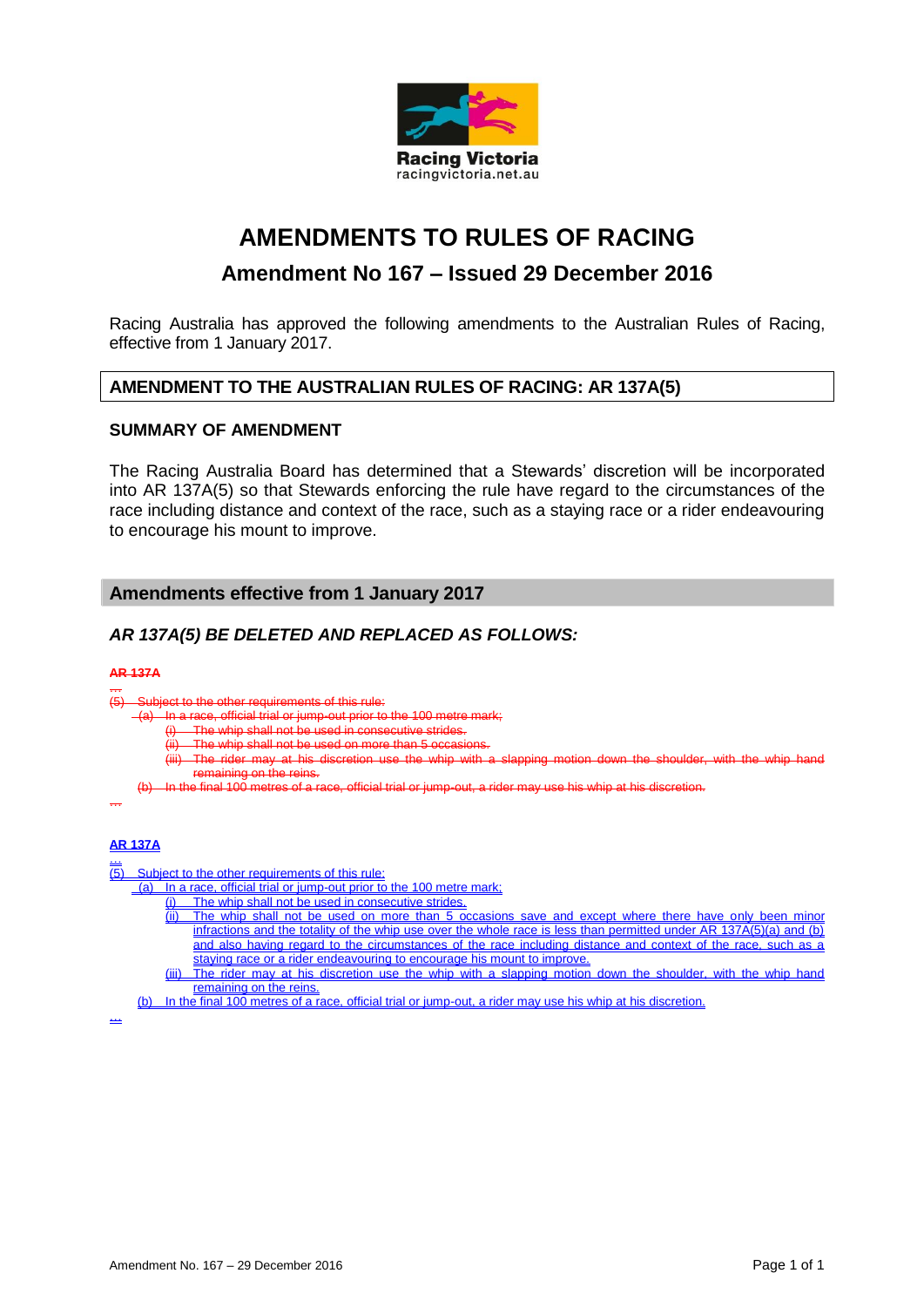

# **AMENDMENTS TO RULES OF RACING**

## **Amendment No 167 – Issued 29 December 2016**

Racing Australia has approved the following amendments to the Australian Rules of Racing, effective from 1 January 2017.

### **AMENDMENT TO THE AUSTRALIAN RULES OF RACING: AR 137A(5)**

#### **SUMMARY OF AMENDMENT**

The Racing Australia Board has determined that a Stewards' discretion will be incorporated into AR 137A(5) so that Stewards enforcing the rule have regard to the circumstances of the race including distance and context of the race, such as a staying race or a rider endeavouring to encourage his mount to improve.

### **Amendments effective from 1 January 2017**

### *AR 137A(5) BE DELETED AND REPLACED AS FOLLOWS:*

#### **AR 137A**

… (5) Subject to the other requirements of this rule:

 $^-($ a)  $\,$  In a race, official trial or jump-out prior to the 100 metre mark;

- 
- whip shall not be used in consecutive strides<br>whip shall not be used on more than 5 occas (ii) The whip shall not be used on more than 5 occasions.
- (iii) The rider may at his discretion use the whip with a slapping motion down the shoulder, with the whip hand remaining on the reins.
- (b) In the final 100 metres of a race, official trial or jump-out, a rider may use his whip at his discretion.

#### …

#### **AR 137A**

 $\overline{(\overline{5})}$ Subject to the other requirements of this rule:

(a) In a race, official trial or jump-out prior to the 100 metre mark;

- (i) The whip shall not be used in consecutive strides.
- (ii) The whip shall not be used on more than 5 occasions save and except where there have only been minor infractions and the totality of the whip use over the whole race is less than permitted under AR 137A(5)(a) and (b) and also having regard to the circumstances of the race including distance and context of the race, such as a staying race or a rider endeavouring to encourage his mount to improve.
- (iii) The rider may at his discretion use the whip with a slapping motion down the shoulder, with the whip hand remaining on the reins.<br>In the final 100 metres of a ra
- (b) In the final 100 metres of a race, official trial or jump-out, a rider may use his whip at his discretion.

…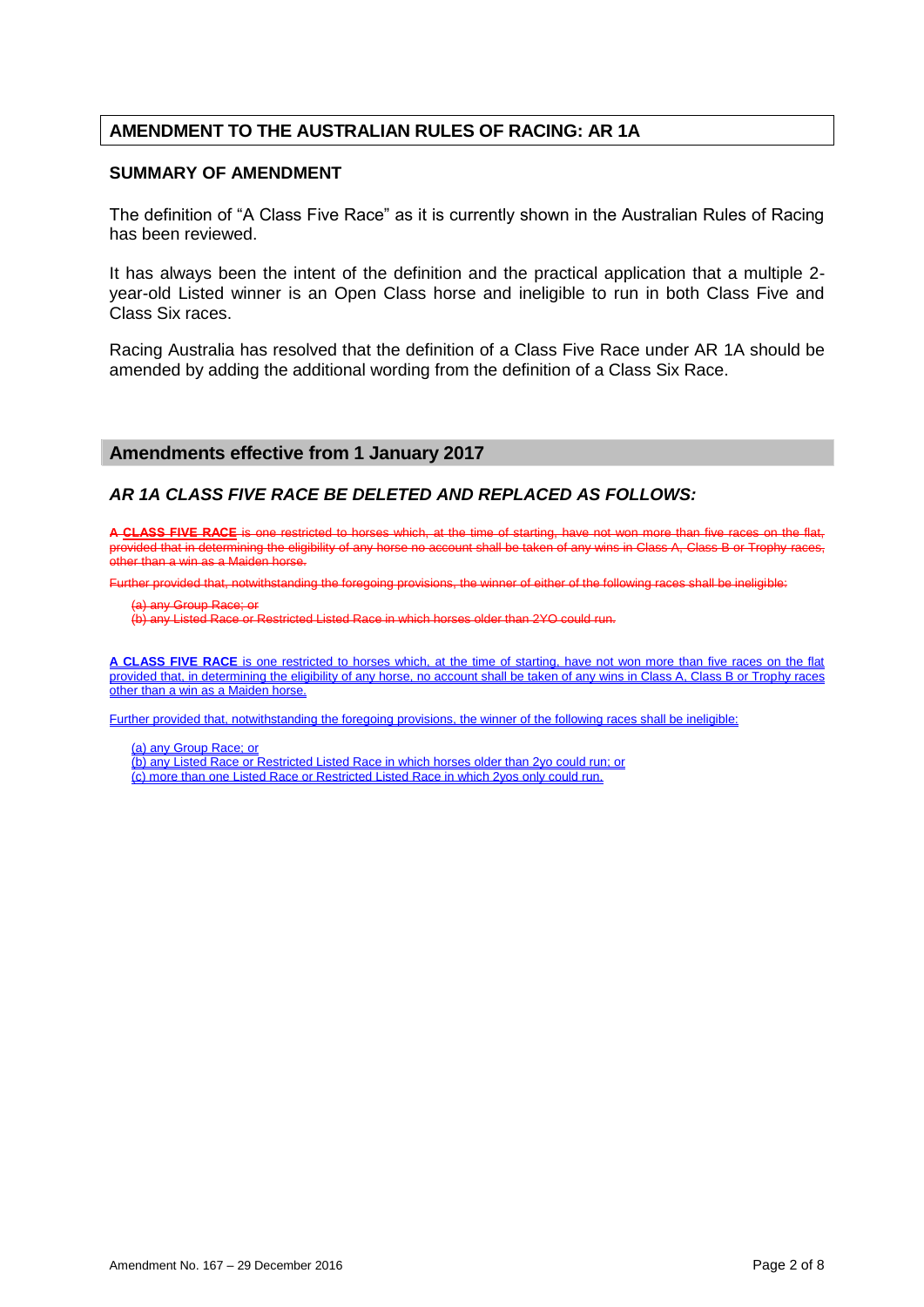## **AMENDMENT TO THE AUSTRALIAN RULES OF RACING: AR 1A**

#### **SUMMARY OF AMENDMENT**

The definition of "A Class Five Race" as it is currently shown in the Australian Rules of Racing has been reviewed.

It has always been the intent of the definition and the practical application that a multiple 2 year-old Listed winner is an Open Class horse and ineligible to run in both Class Five and Class Six races.

Racing Australia has resolved that the definition of a Class Five Race under AR 1A should be amended by adding the additional wording from the definition of a Class Six Race.

#### **Amendments effective from 1 January 2017**

### *AR 1A CLASS FIVE RACE BE DELETED AND REPLACED AS FOLLOWS:*

**A CLASS FIVE RACE** is one restricted to horses which, at the time of starting, have not won more than five races on the flat, provided that in determining the eligibility of any horse no account shall be taken of any wins in Class A, Class B or Trophy races, other than a win as a Maiden horse.

Further provided that, notwithstanding the foregoing provisions, the winner of either of the following races shall be ineligible:

(a) any Group Race; or

(b) any Listed Race or Restricted Listed Race in which horses older than 2YO could run.

**A CLASS FIVE RACE** is one restricted to horses which, at the time of starting, have not won more than five races on the flat provided that, in determining the eligibility of any horse, no account shall be taken of any wins in Class A, Class B or Trophy races other than a win as a Maiden horse.

Further provided that, notwithstanding the foregoing provisions, the winner of the following races shall be ineligible:

(a) any Group Race; or

(b) any Listed Race or Restricted Listed Race in which horses older than 2yo could run; or (c) more than one Listed Race or Restricted Listed Race in which 2yos only could run.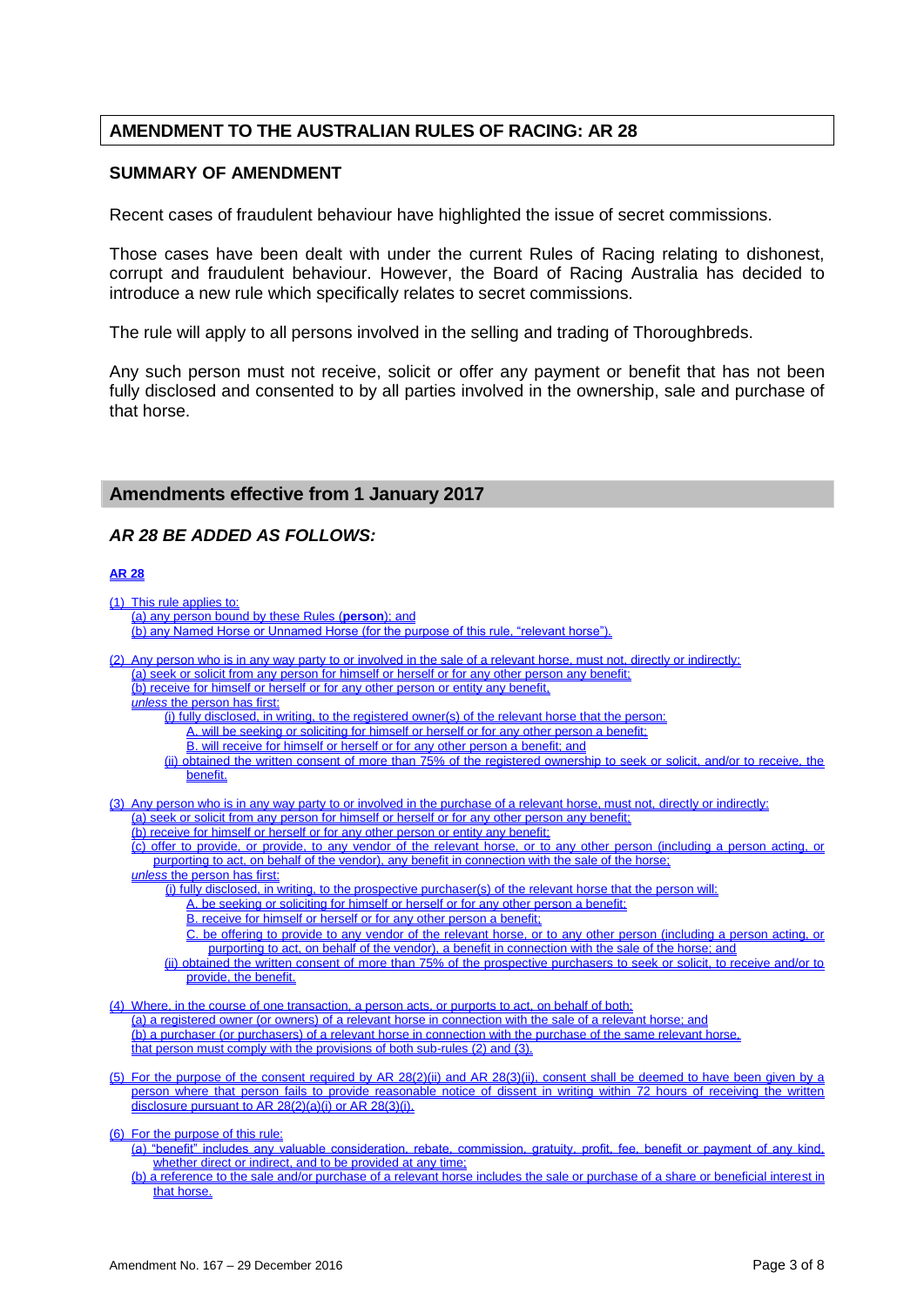## **AMENDMENT TO THE AUSTRALIAN RULES OF RACING: AR 28**

#### **SUMMARY OF AMENDMENT**

Recent cases of fraudulent behaviour have highlighted the issue of secret commissions.

Those cases have been dealt with under the current Rules of Racing relating to dishonest, corrupt and fraudulent behaviour. However, the Board of Racing Australia has decided to introduce a new rule which specifically relates to secret commissions.

The rule will apply to all persons involved in the selling and trading of Thoroughbreds.

Any such person must not receive, solicit or offer any payment or benefit that has not been fully disclosed and consented to by all parties involved in the ownership, sale and purchase of that horse.

#### **Amendments effective from 1 January 2017**

### *AR 28 BE ADDED AS FOLLOWS:*

### **AR 28**

(1) This rule applies to: (a) any person bound by these Rules (**person**); and (b) any Named Horse or Unnamed Horse (for the purpose of this rule, "relevant horse"). (2) Any person who is in any way party to or involved in the sale of a relevant horse, must not, directly or indirectly: (a) seek or solicit from any person for himself or herself or for any other person any benefit; (b) receive for himself or herself or for any other person or entity any benefit, *unless* the person has first: (i) fully disclosed, in writing, to the registered owner(s) of the relevant horse that the person: A. will be seeking or soliciting for himself or herself or for any other person a benefit; B. will receive for himself or herself or for any other person a benefit; and (ii) obtained the written consent of more than 75% of the registered ownership to seek or solicit, and/or to receive, the benefit. (3) Any person who is in any way party to or involved in the purchase of a relevant horse, must not, directly or indirectly: (a) seek or solicit from any person for himself or herself or for any other person any benefit; (b) receive for himself or herself or for any other person or entity any benefit; (c) offer to provide, or provide, to any vendor of the relevant horse, or to any other person (including a person acting, or purporting to act, on behalf of the vendor), any benefit in connection with the sale of the horse; *unless* the person has first: (i) fully disclosed, in writing, to the prospective purchaser(s) of the relevant horse that the person will: A. be seeking or soliciting for himself or herself or for any other person a benefit; B. receive for himself or herself or for any other person a benefit; C. be offering to provide to any vendor of the relevant horse, or to any other person (including a person acting, or purporting to act, on behalf of the vendor), a benefit in connection with the sale of the horse; and (ii) obtained the written consent of more than 75% of the prospective purchasers to seek or solicit, to receive and/or to provide, the benefit. (4) Where, in the course of one transaction, a person acts, or purports to act, on behalf of both: (a) a registered owner (or owners) of a relevant horse in connection with the sale of a relevant horse; and (b) a purchaser (or purchasers) of a relevant horse in connection with the purchase of the same relevant horse, that person must comply with the provisions of both sub-rules (2) and (3). (5) For the purpose of the consent required by AR 28(2)(ii) and AR 28(3)(ii), consent shall be deemed to have been given by a person where that person fails to provide reasonable notice of dissent in writing within 72 hours of receiving the written disclosure pursuant to AR 28(2)(a)(i) or AR 28(3)(i). (6) For the purpose of this rule: (a) "benefit" includes any valuable consideration, rebate, commission, gratuity, profit, fee, benefit or payment of any kind, whether direct or indirect, and to be provided at any time; (b) a reference to the sale and/or purchase of a relevant horse includes the sale or purchase of a share or beneficial interest in that horse.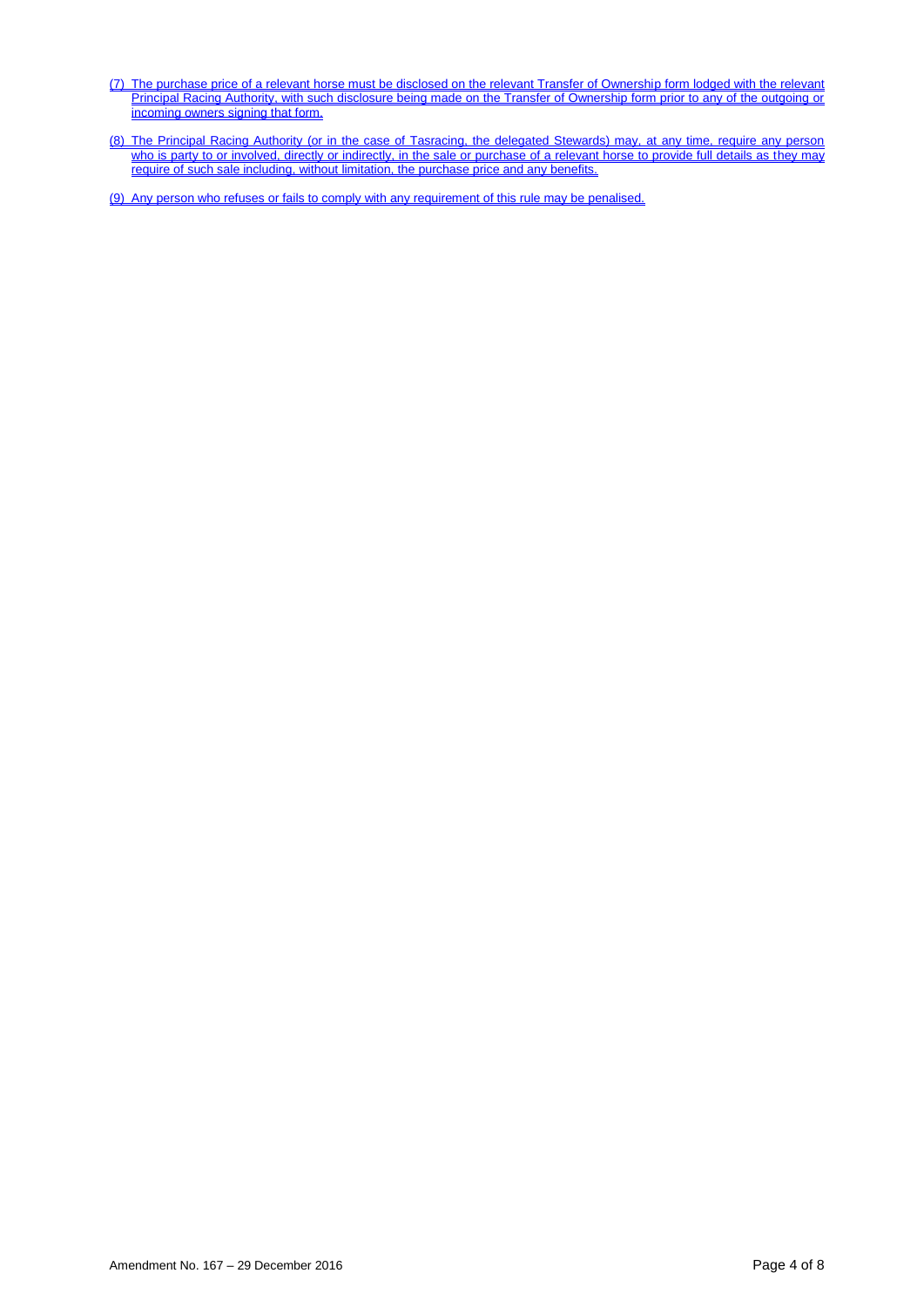- (7) The purchase price of a relevant horse must be disclosed on the relevant Transfer of Ownership form lodged with the relevant Principal Racing Authority, with such disclosure being made on the Transfer of Ownership form prior to any of the outgoing or incoming owners signing that form.
- (8) The Principal Racing Authority (or in the case of Tasracing, the delegated Stewards) may, at any time, require any person who is party to or involved, directly or indirectly, in the sale or purchase of a relevant horse to provide full details as they may require of such sale including, without limitation, the purchase price and any benefits.

(9) Any person who refuses or fails to comply with any requirement of this rule may be penalised.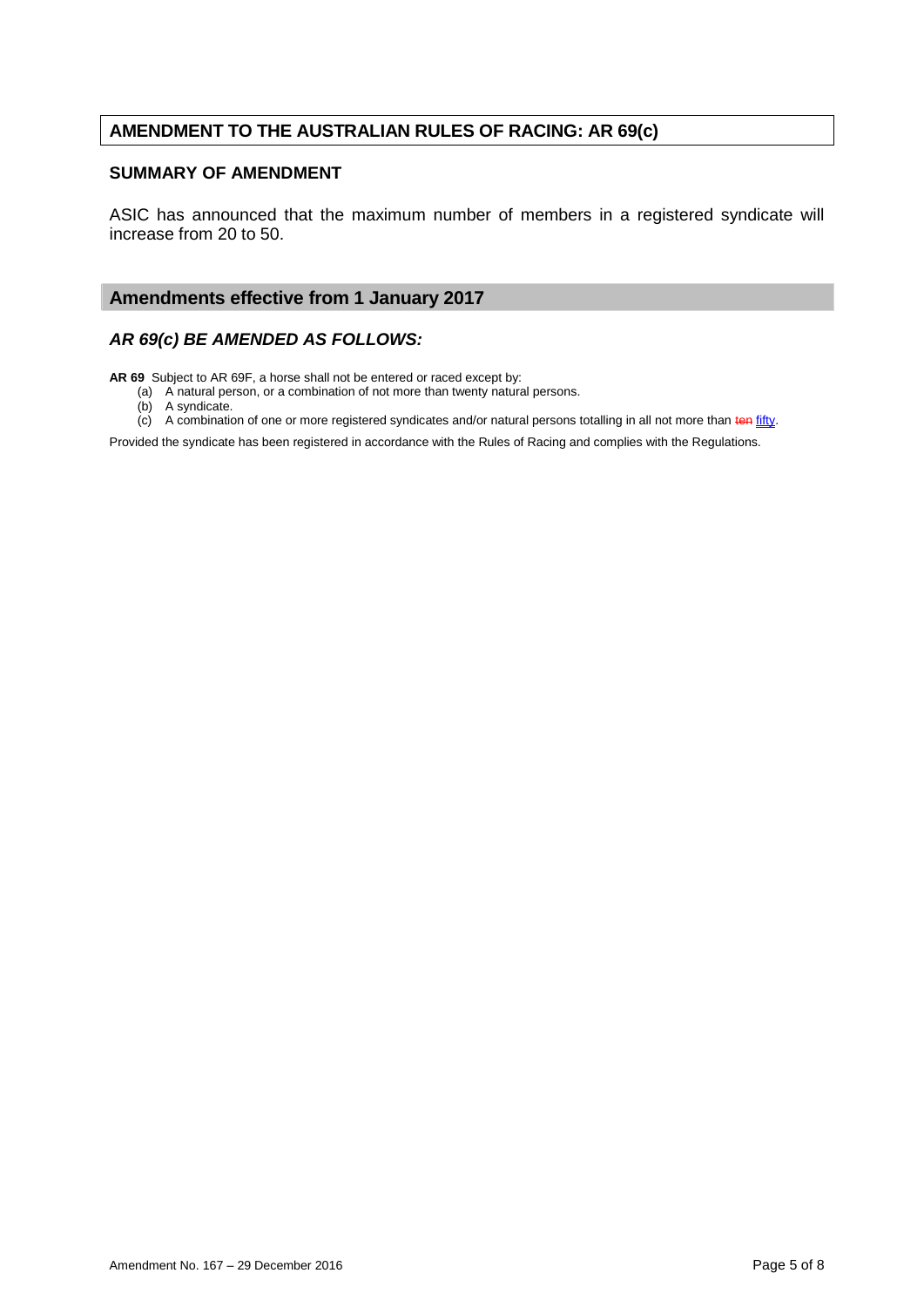## **AMENDMENT TO THE AUSTRALIAN RULES OF RACING: AR 69(c)**

#### **SUMMARY OF AMENDMENT**

ASIC has announced that the maximum number of members in a registered syndicate will increase from 20 to 50.

### **Amendments effective from 1 January 2017**

### *AR 69(c) BE AMENDED AS FOLLOWS:*

**AR 69** Subject to AR 69F, a horse shall not be entered or raced except by:

(a) A natural person, or a combination of not more than twenty natural persons.

(b) A syndicate.

 $(c)$  A combination of one or more registered syndicates and/or natural persons totalling in all not more than ten fifty.

Provided the syndicate has been registered in accordance with the Rules of Racing and complies with the Regulations.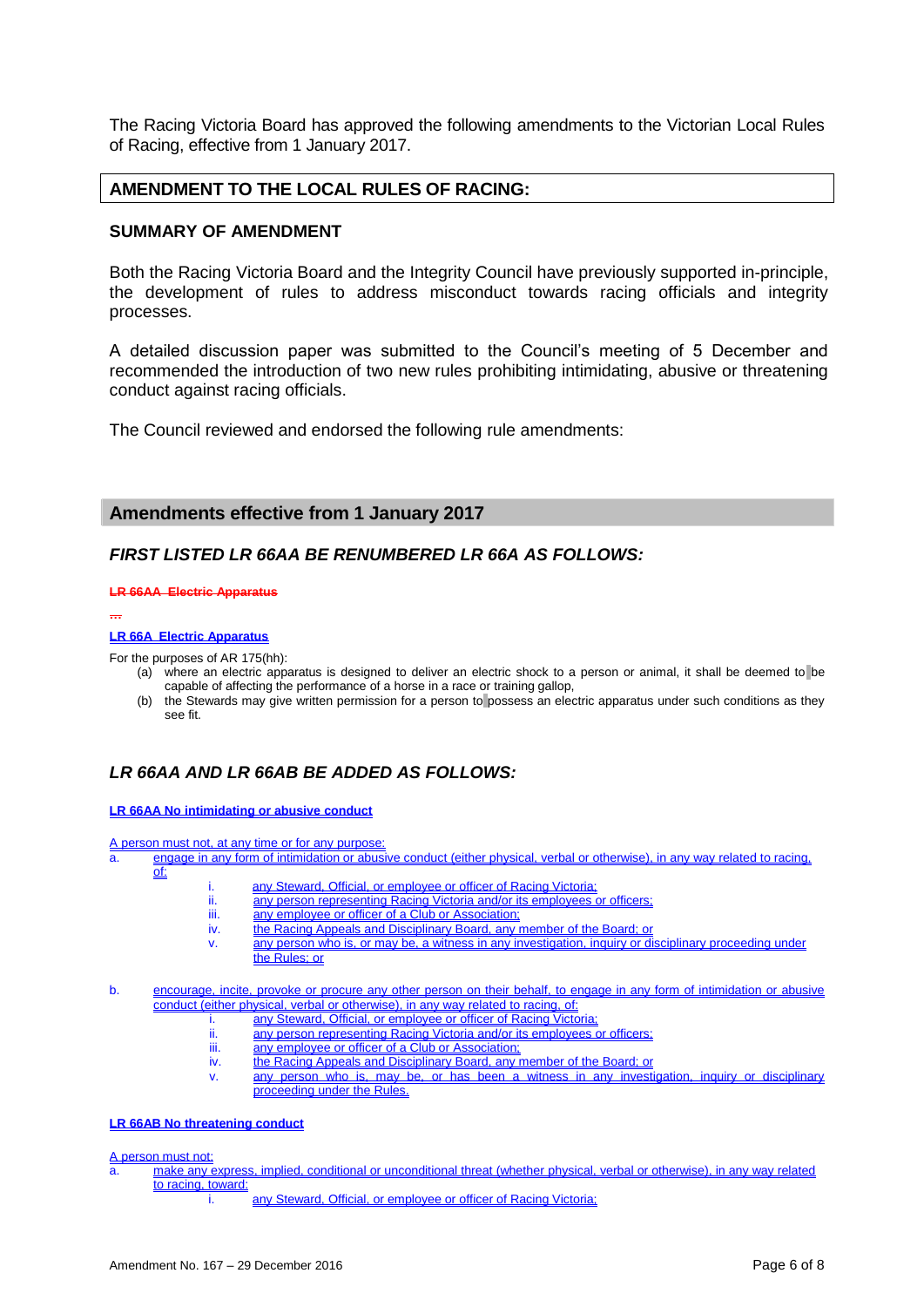The Racing Victoria Board has approved the following amendments to the Victorian Local Rules of Racing, effective from 1 January 2017.

### **AMENDMENT TO THE LOCAL RULES OF RACING:**

#### **SUMMARY OF AMENDMENT**

Both the Racing Victoria Board and the Integrity Council have previously supported in-principle, the development of rules to address misconduct towards racing officials and integrity processes.

A detailed discussion paper was submitted to the Council's meeting of 5 December and recommended the introduction of two new rules prohibiting intimidating, abusive or threatening conduct against racing officials.

The Council reviewed and endorsed the following rule amendments:

#### **Amendments effective from 1 January 2017**

#### *FIRST LISTED LR 66AA BE RENUMBERED LR 66A AS FOLLOWS:*

#### **LR 66AA Electric Apparatus**

**…**

#### **LR 66A Electric Apparatus**

For the purposes of AR 175(hh):

- (a) where an electric apparatus is designed to deliver an electric shock to a person or animal, it shall be deemed to be capable of affecting the performance of a horse in a race or training gallop,
- (b) the Stewards may give written permission for a person to possess an electric apparatus under such conditions as they see fit.

## *LR 66AA AND LR 66AB BE ADDED AS FOLLOWS:*

#### **LR 66AA No intimidating or abusive conduct**

A person must not, at any time or for any purpose:

a. engage in any form of intimidation or abusive conduct (either physical, verbal or otherwise), in any way related to racing, of:

- i. any Steward, Official, or employee or officer of Racing Victoria;
- ii. any person representing Racing Victoria and/or its employees or officers;
- iii. any employee or officer of a Club or Association;<br>iv. the Racing Appeals and Disciplinary Board, any
	- the Racing Appeals and Disciplinary Board, any member of the Board; or
- v. any person who is, or may be, a witness in any investigation, inquiry or disciplinary proceeding under the Rules; or

b. encourage, incite, provoke or procure any other person on their behalf, to engage in any form of intimidation or abusive conduct (either physical, verbal or otherwise), in any way related to racing, of:

- any Steward, Official, or employee or officer of Racing Victoria
- ii. any person representing Racing Victoria and/or its employees or officers;
- iii. any employee or officer of a Club or Association;<br>iv. the Racing Appeals and Disciplinary Board, any in
	- the Racing Appeals and Disciplinary Board, any member of the Board; or
- v. any person who is, may be, or has been a witness in any investigation, inquiry or disciplinary proceeding under the Rules.

#### **LR 66AB No threatening conduct**

A person must not:

- a. make any express, implied, conditional or unconditional threat (whether physical, verbal or otherwise), in any way related to racing, toward:
	- i. any Steward, Official, or employee or officer of Racing Victoria;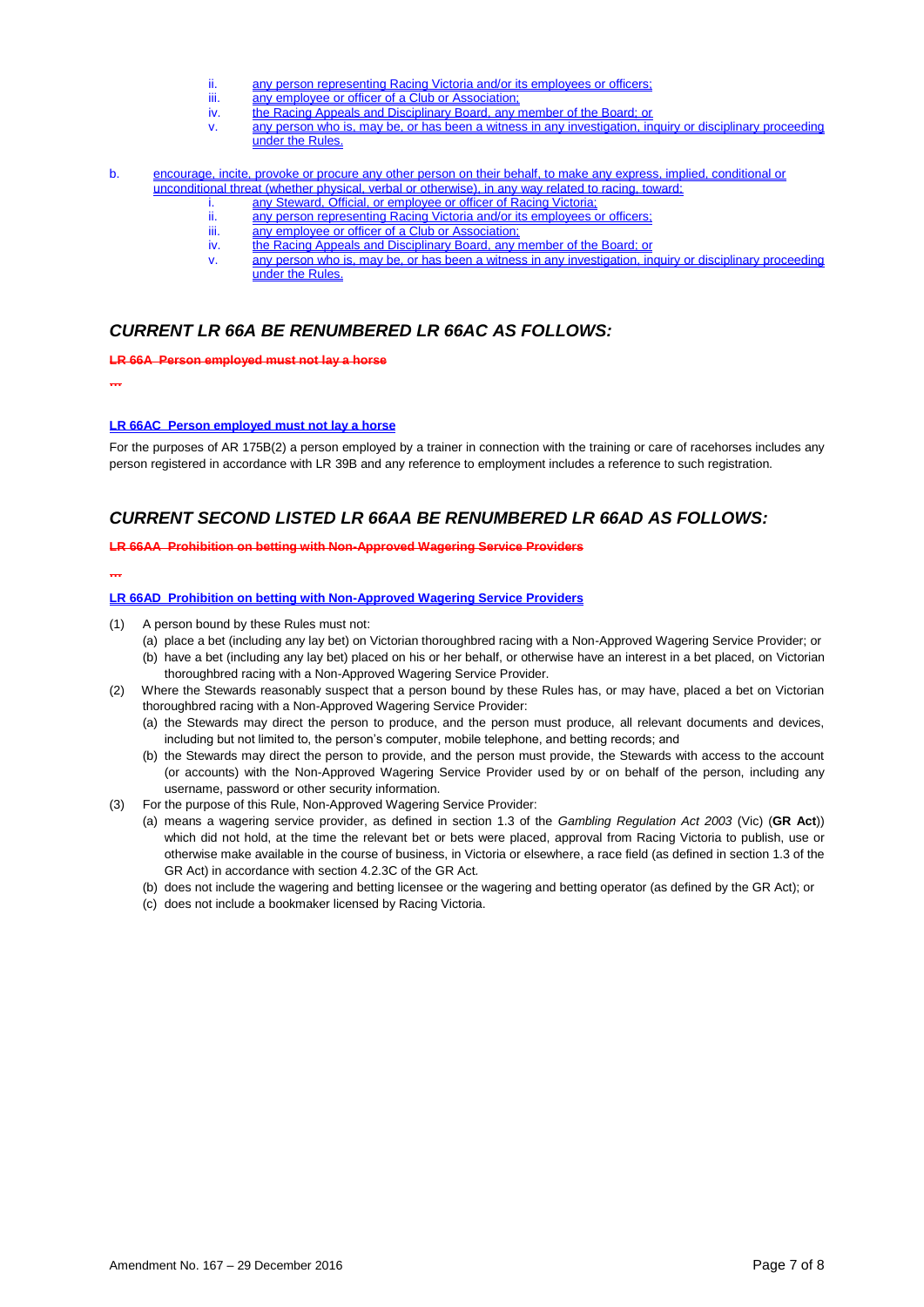- ii. any person representing Racing Victoria and/or its employees or officers;<br>iii. any employee or officer of a Club or Association:
- iii. any employee or officer of a Club or Association;<br>iv. the Racing Appeals and Disciplinary Board, any r
- iv. the Racing Appeals and Disciplinary Board, any member of the Board; or any person who is, may be, or has been a witness in any investigation, in
- any person who is, may be, or has been a witness in any investigation, inquiry or disciplinary proceeding under the Rules.
- b. encourage, incite, provoke or procure any other person on their behalf, to make any express, implied, conditional or unconditional threat (whether physical, verbal or otherwise), in any way related to racing, toward:
	- i. any Steward, Official, or employee or officer of Racing Victoria;<br>ii. any person representing Racing Victoria and/or its employees o
	- ii. any person representing Racing Victoria and/or its employees or officers;<br>iii. any employee or officer of a Club or Association:
	- iii. any employee or officer of a Club or Association;<br>iv. the Racing Appeals and Disciplinary Board, any r
		-
	- iv. the Racing Appeals and Disciplinary Board, any member of the Board; or v. any person who is, may be, or has been a witness in any investigation, in any person who is, may be, or has been a witness in any investigation, inquiry or disciplinary proceeding under the Rules.

#### *CURRENT LR 66A BE RENUMBERED LR 66AC AS FOLLOWS:*

**LR 66A Person employed must not lay a horse**

**…**

#### **LR 66AC Person employed must not lay a horse**

For the purposes of AR 175B(2) a person employed by a trainer in connection with the training or care of racehorses includes any person registered in accordance with LR 39B and any reference to employment includes a reference to such registration.

### *CURRENT SECOND LISTED LR 66AA BE RENUMBERED LR 66AD AS FOLLOWS:*

#### **LR 66AA Prohibition on betting with Non-Approved Wagering Service Providers**

**…**

#### **LR 66AD Prohibition on betting with Non-Approved Wagering Service Providers**

- (1) A person bound by these Rules must not:
	- (a) place a bet (including any lay bet) on Victorian thoroughbred racing with a Non-Approved Wagering Service Provider; or
	- (b) have a bet (including any lay bet) placed on his or her behalf, or otherwise have an interest in a bet placed, on Victorian thoroughbred racing with a Non-Approved Wagering Service Provider.
- (2) Where the Stewards reasonably suspect that a person bound by these Rules has, or may have, placed a bet on Victorian thoroughbred racing with a Non-Approved Wagering Service Provider:
	- (a) the Stewards may direct the person to produce, and the person must produce, all relevant documents and devices, including but not limited to, the person's computer, mobile telephone, and betting records; and
	- (b) the Stewards may direct the person to provide, and the person must provide, the Stewards with access to the account (or accounts) with the Non-Approved Wagering Service Provider used by or on behalf of the person, including any username, password or other security information.
- (3) For the purpose of this Rule, Non-Approved Wagering Service Provider:
	- (a) means a wagering service provider, as defined in section 1.3 of the *Gambling Regulation Act 2003* (Vic) (**GR Act**)) which did not hold, at the time the relevant bet or bets were placed, approval from Racing Victoria to publish, use or otherwise make available in the course of business, in Victoria or elsewhere, a race field (as defined in section 1.3 of the GR Act) in accordance with section 4.2.3C of the GR Act*.*
	- (b) does not include the wagering and betting licensee or the wagering and betting operator (as defined by the GR Act); or
	- (c) does not include a bookmaker licensed by Racing Victoria.